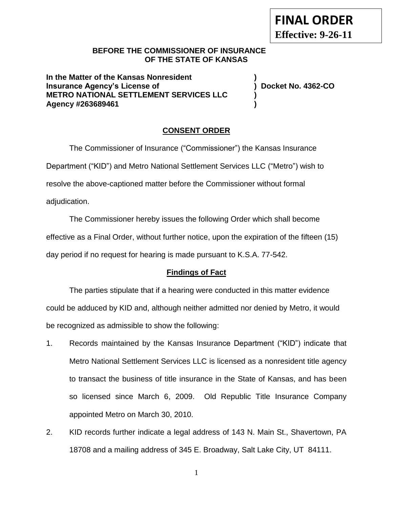## **BEFORE THE COMMISSIONER OF INSURANCE OF THE STATE OF KANSAS**

**In the Matter of the Kansas Nonresident ) Insurance Agency's License of ) Docket No. 4362-CO METRO NATIONAL SETTLEMENT SERVICES LLC ) Agency #263689461 )**

# **CONSENT ORDER**

The Commissioner of Insurance ("Commissioner") the Kansas Insurance Department ("KID") and Metro National Settlement Services LLC ("Metro") wish to resolve the above-captioned matter before the Commissioner without formal adjudication.

The Commissioner hereby issues the following Order which shall become effective as a Final Order, without further notice, upon the expiration of the fifteen (15) day period if no request for hearing is made pursuant to K.S.A. 77-542.

## **Findings of Fact**

The parties stipulate that if a hearing were conducted in this matter evidence could be adduced by KID and, although neither admitted nor denied by Metro, it would be recognized as admissible to show the following:

- 1. Records maintained by the Kansas Insurance Department ("KID") indicate that Metro National Settlement Services LLC is licensed as a nonresident title agency to transact the business of title insurance in the State of Kansas, and has been so licensed since March 6, 2009. Old Republic Title Insurance Company appointed Metro on March 30, 2010.
- 2. KID records further indicate a legal address of 143 N. Main St., Shavertown, PA 18708 and a mailing address of 345 E. Broadway, Salt Lake City, UT 84111.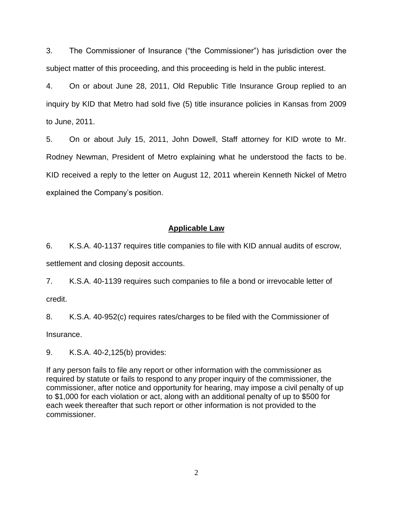3. The Commissioner of Insurance ("the Commissioner") has jurisdiction over the subject matter of this proceeding, and this proceeding is held in the public interest.

4. On or about June 28, 2011, Old Republic Title Insurance Group replied to an inquiry by KID that Metro had sold five (5) title insurance policies in Kansas from 2009 to June, 2011.

5. On or about July 15, 2011, John Dowell, Staff attorney for KID wrote to Mr. Rodney Newman, President of Metro explaining what he understood the facts to be. KID received a reply to the letter on August 12, 2011 wherein Kenneth Nickel of Metro explained the Company's position.

## **Applicable Law**

6. K.S.A. 40-1137 requires title companies to file with KID annual audits of escrow, settlement and closing deposit accounts.

7. K.S.A. 40-1139 requires such companies to file a bond or irrevocable letter of credit.

8. K.S.A. 40-952(c) requires rates/charges to be filed with the Commissioner of Insurance.

9. K.S.A. 40-2,125(b) provides:

If any person fails to file any report or other information with the commissioner as required by statute or fails to respond to any proper inquiry of the commissioner, the commissioner, after notice and opportunity for hearing, may impose a civil penalty of up to \$1,000 for each violation or act, along with an additional penalty of up to \$500 for each week thereafter that such report or other information is not provided to the commissioner.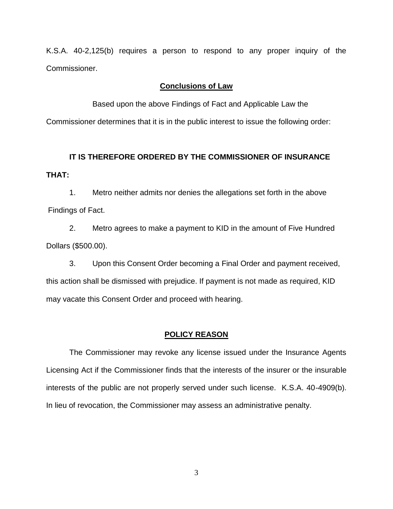K.S.A. 40-2,125(b) requires a person to respond to any proper inquiry of the Commissioner.

#### **Conclusions of Law**

Based upon the above Findings of Fact and Applicable Law the Commissioner determines that it is in the public interest to issue the following order:

# **IT IS THEREFORE ORDERED BY THE COMMISSIONER OF INSURANCE THAT:**

1. Metro neither admits nor denies the allegations set forth in the above Findings of Fact.

2. Metro agrees to make a payment to KID in the amount of Five Hundred Dollars (\$500.00).

3. Upon this Consent Order becoming a Final Order and payment received, this action shall be dismissed with prejudice. If payment is not made as required, KID may vacate this Consent Order and proceed with hearing.

#### **POLICY REASON**

The Commissioner may revoke any license issued under the Insurance Agents Licensing Act if the Commissioner finds that the interests of the insurer or the insurable interests of the public are not properly served under such license. K.S.A. 40-4909(b). In lieu of revocation, the Commissioner may assess an administrative penalty.

3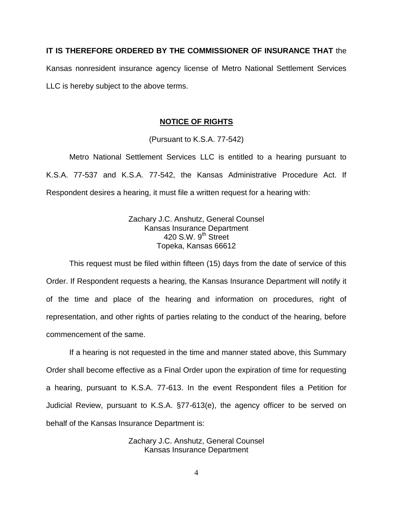## **IT IS THEREFORE ORDERED BY THE COMMISSIONER OF INSURANCE THAT** the

Kansas nonresident insurance agency license of Metro National Settlement Services LLC is hereby subject to the above terms.

### **NOTICE OF RIGHTS**

(Pursuant to K.S.A. 77-542)

Metro National Settlement Services LLC is entitled to a hearing pursuant to K.S.A. 77-537 and K.S.A. 77-542, the Kansas Administrative Procedure Act. If Respondent desires a hearing, it must file a written request for a hearing with:

> Zachary J.C. Anshutz, General Counsel Kansas Insurance Department 420 S.W.  $9<sup>th</sup>$  Street Topeka, Kansas 66612

This request must be filed within fifteen (15) days from the date of service of this Order. If Respondent requests a hearing, the Kansas Insurance Department will notify it of the time and place of the hearing and information on procedures, right of representation, and other rights of parties relating to the conduct of the hearing, before commencement of the same.

If a hearing is not requested in the time and manner stated above, this Summary Order shall become effective as a Final Order upon the expiration of time for requesting a hearing, pursuant to K.S.A. 77-613. In the event Respondent files a Petition for Judicial Review, pursuant to K.S.A. §77-613(e), the agency officer to be served on behalf of the Kansas Insurance Department is:

> Zachary J.C. Anshutz, General Counsel Kansas Insurance Department

> > 4